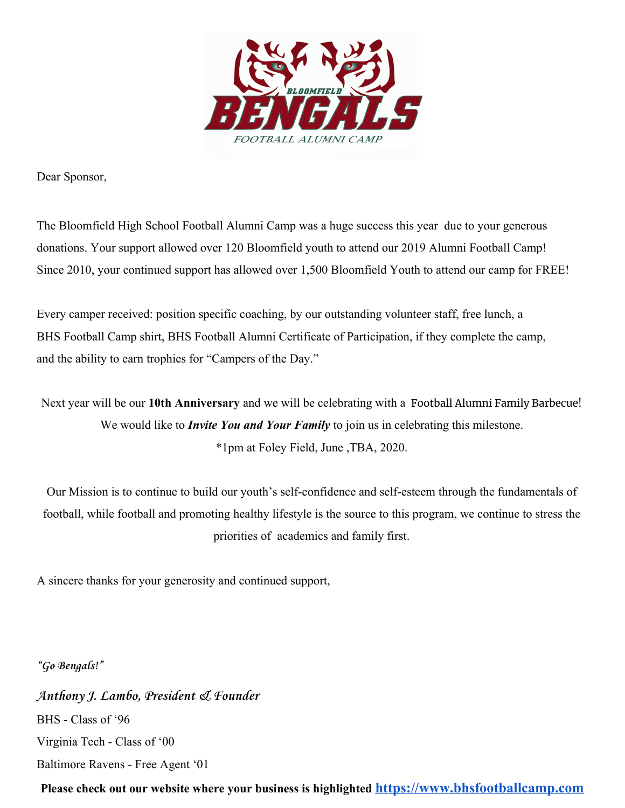

Dear Sponsor,

The Bloomfield High School Football Alumni Camp was a huge success this year due to your generous donations. Your support allowed over 120 Bloomfield youth to attend our 2019 Alumni Football Camp! Since 2010, your continued support has allowed over 1,500 Bloomfield Youth to attend our camp for FREE!

Every camper received: position specific coaching, by our outstanding volunteer staff, free lunch, a BHS Football Camp shirt, BHS Football Alumni Certificate of Participation, if they complete the camp, and the ability to earn trophies for "Campers of the Day."

Next year will be our **10th Anniversary** and we will be celebrating with a Football Alumni Family Barbecue! We would like to *Invite You and Your Family* to join us in celebrating this milestone. \*1pm at Foley Field, June ,TBA, 2020.

Our Mission is to continue to build our youth's self-confidence and self-esteem through the fundamentals of football, while football and promoting healthy lifestyle is the source to this program, we continue to stress the priorities of academics and family first.

A sincere thanks for your generosity and continued support,

**"Go Bengals!"**

**Anthony J. Lambo, President & Founder** BHS - Class of '96 Virginia Tech - Class of '00 Baltimore Ravens - Free Agent '01

**Please check out our website where your business is highlighted [https://www.bhsfootballcamp.com](https://www.bhsfootballcamp.com/)**